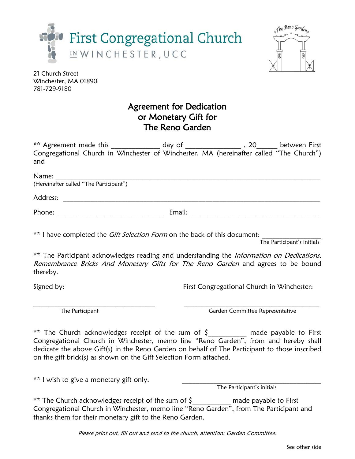



21 Church Street Winchester, MA 01890 781-729-9180

## Agreement for Dedication or Monetary Gift for The Reno Garden

| and                                                                              | ** Agreement made this _______________ day of _______________________, 20______ between First Congregational Church in Winchester of Winchester, MA (hereinafter called "The Church") |  |
|----------------------------------------------------------------------------------|---------------------------------------------------------------------------------------------------------------------------------------------------------------------------------------|--|
|                                                                                  |                                                                                                                                                                                       |  |
|                                                                                  |                                                                                                                                                                                       |  |
|                                                                                  |                                                                                                                                                                                       |  |
| ** I have completed the <i>Gift Selection Form</i> on the back of this document: | The Participant's initials                                                                                                                                                            |  |
| thereby.                                                                         | ** The Participant acknowledges reading and understanding the <i>Information on Dedications</i> ,<br>Remembrance Bricks And Monetary Gifts for The Reno Garden and agrees to be bound |  |
| Signed by:                                                                       | First Congregational Church in Winchester:                                                                                                                                            |  |
|                                                                                  |                                                                                                                                                                                       |  |

The Participant Garden Committee Representative

\*\* The Church acknowledges receipt of the sum of  $\zeta$  made payable to First Congregational Church in Winchester, memo line "Reno Garden", from and hereby shall dedicate the above Gift(s) in the Reno Garden on behalf of The Participant to those inscribed on the gift brick(s) as shown on the Gift Selection Form attached.

\*\* I wish to give a monetary gift only.

The Participant's initials

\*\* The Church acknowledges receipt of the sum of \$\_\_\_\_\_\_\_\_\_\_\_ made payable to First Congregational Church in Winchester, memo line "Reno Garden", from The Participant and thanks them for their monetary gift to the Reno Garden.

Please print out, fill out and send to the church, attention: Garden Committee.